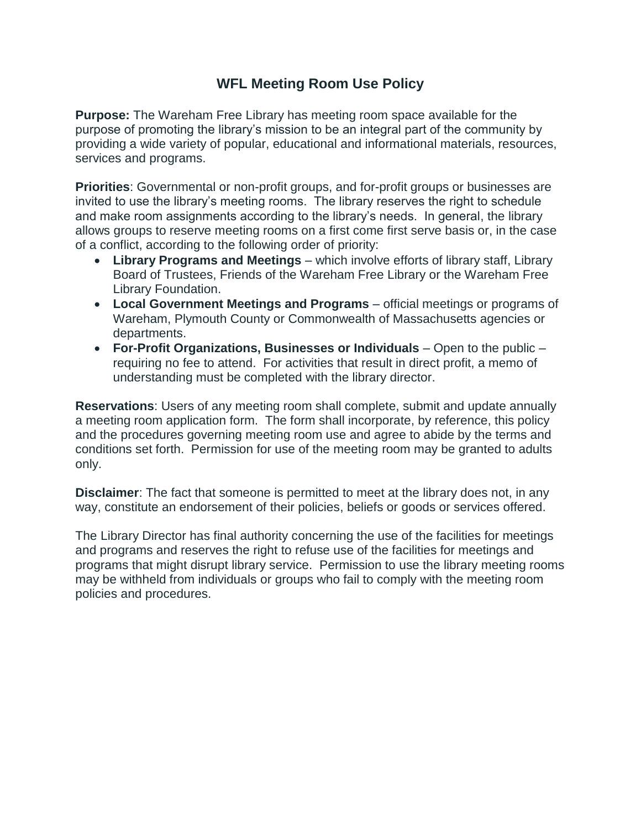## **WFL Meeting Room Use Policy**

**Purpose:** The Wareham Free Library has meeting room space available for the purpose of promoting the library's mission to be an integral part of the community by providing a wide variety of popular, educational and informational materials, resources, services and programs.

**Priorities**: Governmental or non-profit groups, and for-profit groups or businesses are invited to use the library's meeting rooms. The library reserves the right to schedule and make room assignments according to the library's needs. In general, the library allows groups to reserve meeting rooms on a first come first serve basis or, in the case of a conflict, according to the following order of priority:

- **Library Programs and Meetings** which involve efforts of library staff, Library Board of Trustees, Friends of the Wareham Free Library or the Wareham Free Library Foundation.
- **Local Government Meetings and Programs** official meetings or programs of Wareham, Plymouth County or Commonwealth of Massachusetts agencies or departments.
- **For-Profit Organizations, Businesses or Individuals** Open to the public requiring no fee to attend. For activities that result in direct profit, a memo of understanding must be completed with the library director.

**Reservations**: Users of any meeting room shall complete, submit and update annually a meeting room application form. The form shall incorporate, by reference, this policy and the procedures governing meeting room use and agree to abide by the terms and conditions set forth. Permission for use of the meeting room may be granted to adults only.

**Disclaimer**: The fact that someone is permitted to meet at the library does not, in any way, constitute an endorsement of their policies, beliefs or goods or services offered.

The Library Director has final authority concerning the use of the facilities for meetings and programs and reserves the right to refuse use of the facilities for meetings and programs that might disrupt library service. Permission to use the library meeting rooms may be withheld from individuals or groups who fail to comply with the meeting room policies and procedures.